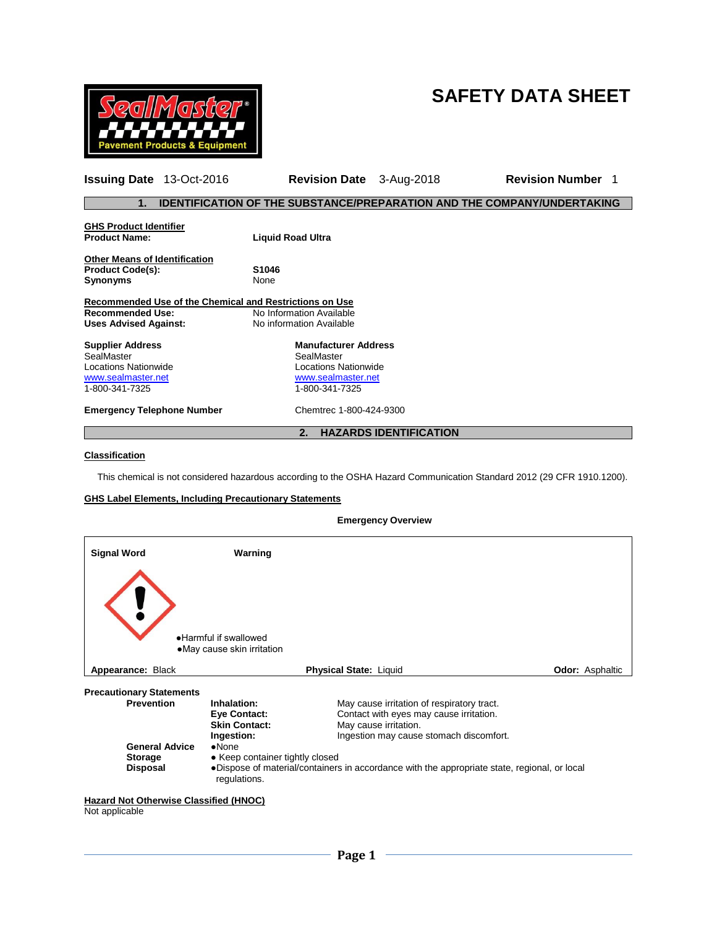# **SAFETY DATA SHEET**



| <b>Issuing Date</b> 13-Oct-2016                                                                                                                                                                                    | <b>Revision Date</b> 3-Aug-2018                                                |  | <b>Revision Number</b><br>1 |  |  |
|--------------------------------------------------------------------------------------------------------------------------------------------------------------------------------------------------------------------|--------------------------------------------------------------------------------|--|-----------------------------|--|--|
| 1.                                                                                                                                                                                                                 | <b>IDENTIFICATION OF THE SUBSTANCE/PREPARATION AND THE COMPANY/UNDERTAKING</b> |  |                             |  |  |
| <b>GHS Product Identifier</b><br><b>Product Name:</b>                                                                                                                                                              | <b>Liquid Road Ultra</b>                                                       |  |                             |  |  |
| <b>Other Means of Identification</b><br><b>Product Code(s):</b><br>S <sub>1046</sub><br>None<br><b>Synonyms</b>                                                                                                    |                                                                                |  |                             |  |  |
| Recommended Use of the Chemical and Restrictions on Use<br><b>Recommended Use:</b><br>No Information Available<br>No information Available<br><b>Uses Advised Against:</b>                                         |                                                                                |  |                             |  |  |
| <b>Manufacturer Address</b><br><b>Supplier Address</b><br>SealMaster<br>SealMaster<br>Locations Nationwide<br>Locations Nationwide<br>www.sealmaster.net<br>www.sealmaster.net<br>1-800-341-7325<br>1-800-341-7325 |                                                                                |  |                             |  |  |
| <b>Emergency Telephone Number</b>                                                                                                                                                                                  | Chemtrec 1-800-424-9300                                                        |  |                             |  |  |
|                                                                                                                                                                                                                    | <b>HAZARDS IDENTIFICATION</b><br>2.                                            |  |                             |  |  |

# **Classification**

This chemical is not considered hazardous according to the OSHA Hazard Communication Standard 2012 (29 CFR 1910.1200).

# **GHS Label Elements, Including Precautionary Statements**

| <b>Signal Word</b>                                       | Warning                                               |                                                                                              |                        |
|----------------------------------------------------------|-------------------------------------------------------|----------------------------------------------------------------------------------------------|------------------------|
|                                                          | . Harmful if swallowed<br>• May cause skin irritation |                                                                                              |                        |
| Appearance: Black                                        |                                                       | Physical State: Liquid                                                                       | <b>Odor: Asphaltic</b> |
| <b>Precautionary Statements</b>                          |                                                       |                                                                                              |                        |
| <b>Prevention</b>                                        | Inhalation:                                           | May cause irritation of respiratory tract.                                                   |                        |
|                                                          | Eye Contact:                                          | Contact with eyes may cause irritation.                                                      |                        |
|                                                          | <b>Skin Contact:</b>                                  | May cause irritation.                                                                        |                        |
|                                                          | Ingestion:                                            | Ingestion may cause stomach discomfort.                                                      |                        |
| <b>General Advice</b><br><b>Storage</b>                  | $\bullet$ None<br>• Keep container tightly closed     |                                                                                              |                        |
| <b>Disposal</b>                                          | regulations.                                          | •Dispose of material/containers in accordance with the appropriate state, regional, or local |                        |
| Hazard Not Otherwise Classified (HNOC)<br>Not applicable |                                                       |                                                                                              |                        |

## **Emergency Overview**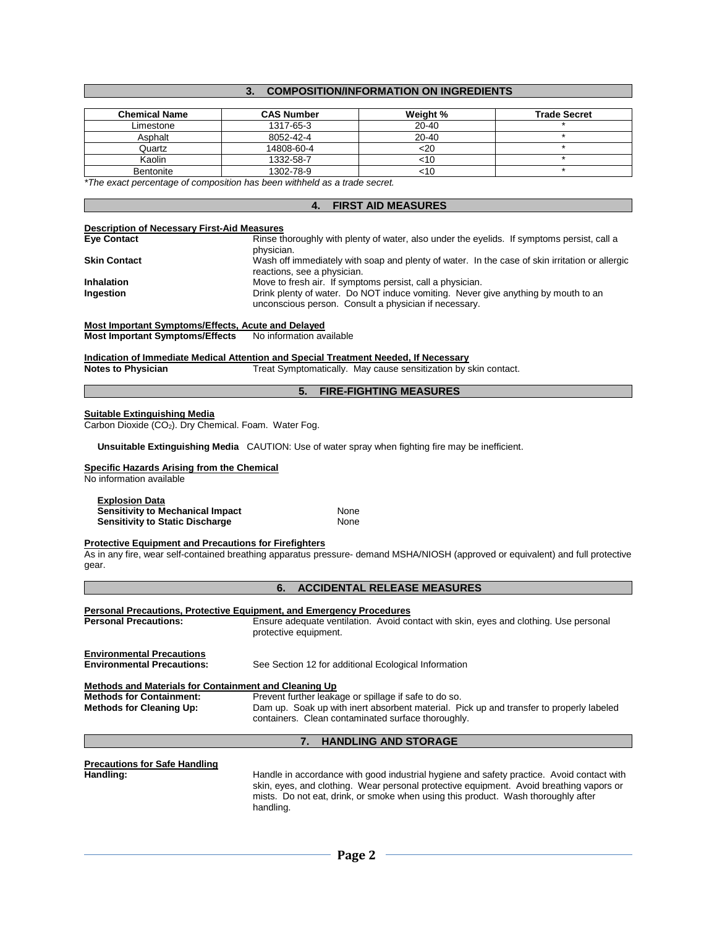# **3. COMPOSITION/INFORMATION ON INGREDIENTS**

| <b>Chemical Name</b> | <b>CAS Number</b> | Weight %  | <b>Trade Secret</b> |
|----------------------|-------------------|-----------|---------------------|
| Limestone            | 1317-65-3         | $20 - 40$ |                     |
| Asphalt              | 8052-42-4         | $20 - 40$ |                     |
| Quartz               | 14808-60-4        | <20       |                     |
| Kaolin               | 1332-58-7         | <10       |                     |
| Bentonite            | 1302-78-9         | <⊺∪       |                     |

*\*The exact percentage of composition has been withheld as a trade secret.*

### **4. FIRST AID MEASURES**

#### **Description of Necessary First-Aid Measures**

| <b>Eye Contact</b>  | Rinse thoroughly with plenty of water, also under the eyelids. If symptoms persist, call a                                                 |
|---------------------|--------------------------------------------------------------------------------------------------------------------------------------------|
|                     | physician.                                                                                                                                 |
| <b>Skin Contact</b> | Wash off immediately with soap and plenty of water. In the case of skin irritation or allergic<br>reactions, see a physician.              |
| <b>Inhalation</b>   | Move to fresh air. If symptoms persist, call a physician.                                                                                  |
| Ingestion           | Drink plenty of water. Do NOT induce vomiting. Never give anything by mouth to an<br>unconscious person. Consult a physician if necessary. |
|                     |                                                                                                                                            |

**Most Important Symptoms/Effects, Acute and Delayed**

**Most Important Symptoms/Effects** No information available

# **Indication of Immediate Medical Attention and Special Treatment Needed, If Necessary**<br>Notes to Physician **Treat Symptomatically. May cause sensitization by s**

Treat Symptomatically. May cause sensitization by skin contact.

## **5. FIRE-FIGHTING MEASURES**

#### **Suitable Extinguishing Media**

Carbon Dioxide  $(CO<sub>2</sub>)$ . Dry Chemical. Foam. Water Fog.

 **Unsuitable Extinguishing Media** CAUTION: Use of water spray when fighting fire may be inefficient.

# **Specific Hazards Arising from the Chemical**

No information available

#### **Explosion Data**

| <b>Sensitivity to Mechanical Impact</b> | None |
|-----------------------------------------|------|
| <b>Sensitivity to Static Discharge</b>  | None |

#### **Protective Equipment and Precautions for Firefighters**

As in any fire, wear self-contained breathing apparatus pressure- demand MSHA/NIOSH (approved or equivalent) and full protective gear.

|                                                                       | <b>ACCIDENTAL RELEASE MEASURES</b><br>6.                                                                                                                                                                                                                                               |
|-----------------------------------------------------------------------|----------------------------------------------------------------------------------------------------------------------------------------------------------------------------------------------------------------------------------------------------------------------------------------|
| <b>Personal Precautions:</b>                                          | <b>Personal Precautions, Protective Equipment, and Emergency Procedures</b><br>Ensure adequate ventilation. Avoid contact with skin, eyes and clothing. Use personal<br>protective equipment.                                                                                          |
| <b>Environmental Precautions</b><br><b>Environmental Precautions:</b> | See Section 12 for additional Ecological Information                                                                                                                                                                                                                                   |
| Methods and Materials for Containment and Cleaning Up                 |                                                                                                                                                                                                                                                                                        |
| <b>Methods for Containment:</b><br><b>Methods for Cleaning Up:</b>    | Prevent further leakage or spillage if safe to do so.<br>Dam up. Soak up with inert absorbent material. Pick up and transfer to properly labeled<br>containers. Clean contaminated surface thoroughly.                                                                                 |
|                                                                       | <b>HANDLING AND STORAGE</b><br>7.                                                                                                                                                                                                                                                      |
| <b>Precautions for Safe Handling</b><br>Handling:                     | Handle in accordance with good industrial hygiene and safety practice. Avoid contact with<br>skin, eyes, and clothing. Wear personal protective equipment. Avoid breathing vapors or<br>mists. Do not eat, drink, or smoke when using this product. Wash thoroughly after<br>handling. |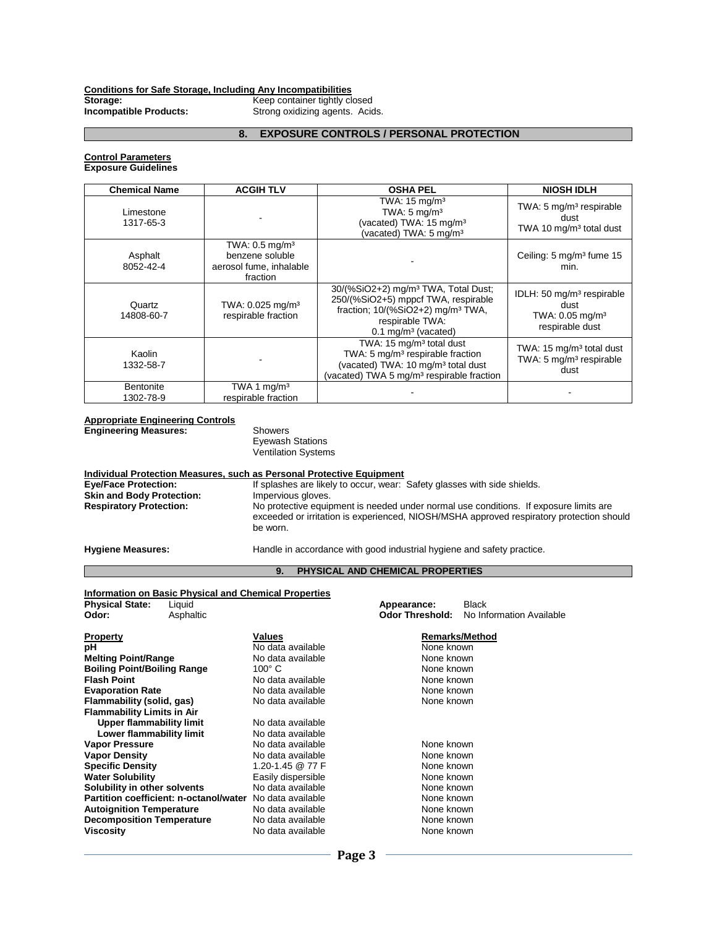# **Conditions for Safe Storage, Including Any Incompatibilities**

**Storage:** Keep container tightly closed **Incompatible Products: Incompatible Products:** Strong oxidizing agents. Acids.

### **8. EXPOSURE CONTROLS / PERSONAL PROTECTION**

#### **Control Parameters Exposure Guidelines**

| <b>Chemical Name</b>          | <b>ACGIH TLV</b>                                                                       | <b>OSHA PEL</b>                                                                                                                                                                                   | <b>NIOSH IDLH</b>                                                                               |
|-------------------------------|----------------------------------------------------------------------------------------|---------------------------------------------------------------------------------------------------------------------------------------------------------------------------------------------------|-------------------------------------------------------------------------------------------------|
| Limestone<br>1317-65-3        |                                                                                        | TWA: $15 \text{ mg/m}^3$<br>TWA: $5 \text{ mg/m}^3$<br>(vacated) TWA: 15 mg/m <sup>3</sup><br>(vacated) TWA: 5 mg/m <sup>3</sup>                                                                  | TWA: 5 mg/m <sup>3</sup> respirable<br>dust<br>TWA 10 mg/m <sup>3</sup> total dust              |
| Asphalt<br>8052-42-4          | TWA: $0.5$ mg/m <sup>3</sup><br>benzene soluble<br>aerosol fume, inhalable<br>fraction |                                                                                                                                                                                                   | Ceiling: $5 \text{ mg/m}^3$ fume $15$<br>min.                                                   |
| Quartz<br>14808-60-7          | TWA: 0.025 mg/m <sup>3</sup><br>respirable fraction                                    | 30/(%SiO2+2) mg/m <sup>3</sup> TWA, Total Dust;<br>250/(%SiO2+5) mppcf TWA, respirable<br>fraction; $10/(%SiO2+2)$ mg/m <sup>3</sup> TWA,<br>respirable TWA:<br>$0.1$ mg/m <sup>3</sup> (vacated) | IDLH: 50 mg/m <sup>3</sup> respirable<br>dust<br>TWA: 0.05 mg/m <sup>3</sup><br>respirable dust |
| Kaolin<br>1332-58-7           |                                                                                        | TWA: 15 mg/m <sup>3</sup> total dust<br>TWA: 5 mg/m <sup>3</sup> respirable fraction<br>(vacated) TWA: 10 mg/m <sup>3</sup> total dust<br>(vacated) TWA 5 mg/m <sup>3</sup> respirable fraction   | TWA: 15 mg/m <sup>3</sup> total dust<br>TWA: 5 mg/m <sup>3</sup> respirable<br>dust             |
| <b>Bentonite</b><br>1302-78-9 | TWA 1 $mg/m3$<br>respirable fraction                                                   |                                                                                                                                                                                                   |                                                                                                 |

#### **Appropriate Engineering Controls**

**Engineering Measures:** Showers

Eyewash Stations Ventilation Systems

|                                                                 | Individual Protection Measures, such as Personal Protective Equipment                                                                                                                         |
|-----------------------------------------------------------------|-----------------------------------------------------------------------------------------------------------------------------------------------------------------------------------------------|
| <b>Eye/Face Protection:</b><br><b>Skin and Body Protection:</b> | If splashes are likely to occur, wear: Safety glasses with side shields.<br>Impervious gloves.                                                                                                |
| <b>Respiratory Protection:</b>                                  | No protective equipment is needed under normal use conditions. If exposure limits are<br>exceeded or irritation is experienced, NIOSH/MSHA approved respiratory protection should<br>be worn. |
| <b>Hygiene Measures:</b>                                        | Handle in accordance with good industrial hygiene and safety practice.                                                                                                                        |

#### **9. PHYSICAL AND CHEMICAL PROPERTIES**

#### **Information on Basic Physical and Chemical Properties Physical State:** Liquid **Appearance:** Black **Odor:** Asphaltic **Odor Threshold:** No Information Available **Property Property Remarks/Method**<br> **Property Remarks/Method**<br> **Remarks/Method**<br> **Remarks/Method**<br> **Remarks/Method**<br> **Remarks/Method pH** No data available **Melting Point/Range No data available None known**<br> **Boiling Point/Boiling Range** 100° C<br> **None known Boiling Point/Boiling Range Noting Communist Communist Communist Communist Communist Communist Communist Communist Communist Communist Communist Communist Communist Communist Communist Communist Communist Communist Commun Flash Point** No data available None known **Evaporation Rate No data available None known**<br> **Example 1 None known**<br> **Example 1 None known**<br> **None known Flammability (solid, gas)** No data available None known **Flammability Limits in Air Upper flammability limit** No data available<br> **Lower flammability limit** No data available **Lower flammability limit Vapor Pressure No data available None known**<br> **Vapor Density None known**<br>
None known **None known**<br>
None known **Vapor Density None known**<br>
1.20-1.45 @ 77 F None known **Specific Density** 1.20-1.45 @ 77 F **None known**<br> **Water Solubility None known**<br> **Water Solubility Casily dispersible None known Easily dispersible Easily dispersible** None known<br>No data available None known **Solubility in other solvents** No data available **None known**<br> **Partition coefficient: n-octanol/water** No data available **None known Partition coefficient: n-octanol/water** No data available **Autoignition Temperature No data available None known**<br> **Decomposition Temperature No data available None known Decomposition Temperature<br>Viscosity** No data available **None known**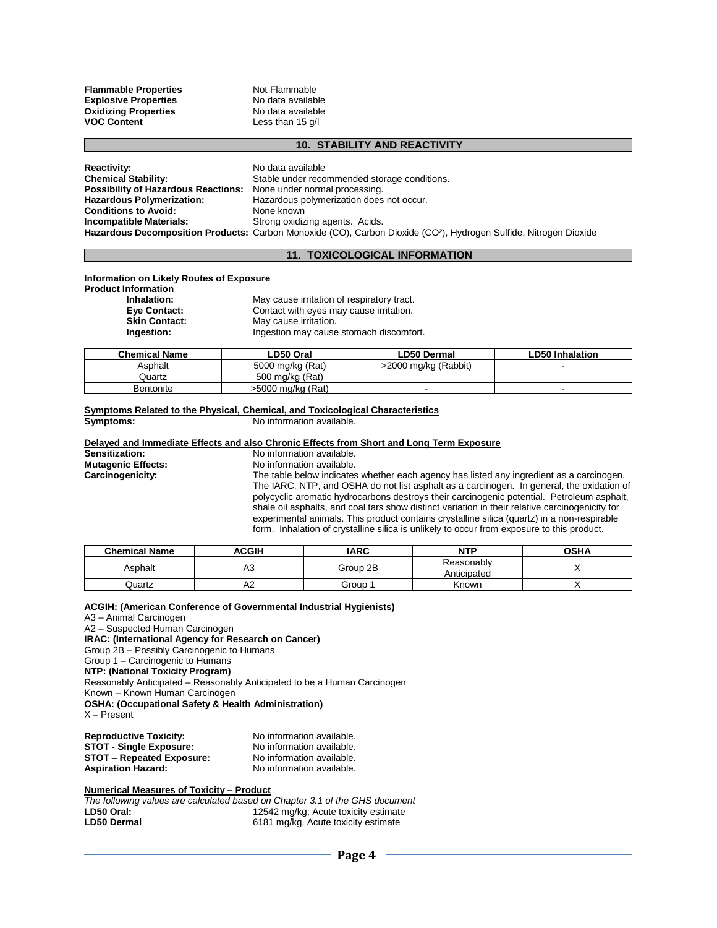**Flammable Properties**<br> **Explosive Properties**<br>
No data available **Explosive Properties** No data available<br> **Oxidizing Properties** No data available **Oxidizing Properties VOC Content** Less than 15 g/l

#### **10. STABILITY AND REACTIVITY**

**Reactivity:** No data available<br> **Chemical Stability:** Stable under reco Stable under recommended storage conditions.<br>None under normal processing. **Possibility of Hazardous Reactions:**<br>Hazardous Polymerization: Hazardous polymerization does not occur.<br>None known **Conditions to Avoid:**<br>Incompatible Materials: **Strong oxidizing agents. Acids. Hazardous Decomposition Products:** Carbon Monoxide (CO), Carbon Dioxide (CO²), Hydrogen Sulfide, Nitrogen Dioxide

# **11. TOXICOLOGICAL INFORMATION**

#### **Information on Likely Routes of Exposure**

**Product Information Inhalation:** May cause irritation of respiratory tract.

| IIIIIdiduvii.        | <b>NOTE THAT IN THE UP THAT IS NOT THE INCL.</b> |
|----------------------|--------------------------------------------------|
| Eve Contact:         | Contact with eyes may cause irritation.          |
| <b>Skin Contact:</b> | May cause irritation.                            |
| Ingestion:           | Ingestion may cause stomach discomfort.          |

| <b>Chemical Name</b> | ∟D50 Oral         | LD50 Dermal          | ∟D50 Inhalation |
|----------------------|-------------------|----------------------|-----------------|
| Asphalt              | 5000 mg/kg (Rat)  | >2000 mg/kg (Rabbit) |                 |
| Quartz               | 500 mg/kg (Rat)   |                      |                 |
| Bentonite            | >5000 mg/kg (Rat) |                      |                 |

#### **Symptoms Related to the Physical, Chemical, and Toxicological Characteristics**<br>No information available. **Symptoms:** No information available.

# **Delayed and Immediate Effects and also Chronic Effects from Short and Long Term Exposure**

**Sensitization:** No information available.<br>**Mutagenic Effects:** No information available. **Mutagenic Effects:** No information available.<br> **Carcinogenicity:** The table below indicates The table below indicates whether each agency has listed any ingredient as a carcinogen. The IARC, NTP, and OSHA do not list asphalt as a carcinogen. In general, the oxidation of polycyclic aromatic hydrocarbons destroys their carcinogenic potential. Petroleum asphalt, shale oil asphalts, and coal tars show distinct variation in their relative carcinogenicity for experimental animals. This product contains crystalline silica (quartz) in a non-respirable form. Inhalation of crystalline silica is unlikely to occur from exposure to this product.

| <b>Chemical Name</b> | ACGIH | <b>IARC</b> | <b>NTP</b>                | <b>OSHA</b> |
|----------------------|-------|-------------|---------------------------|-------------|
| Asphalt              | A3    | Group 2B    | Reasonably<br>Anticipated |             |
| Quartz               | A2    | Group       | Known                     |             |

# **ACGIH: (American Conference of Governmental Industrial Hygienists)**

A3 – Animal Carcinogen A2 – Suspected Human Carcinogen **IRAC: (International Agency for Research on Cancer)** Group 2B – Possibly Carcinogenic to Humans Group 1 – Carcinogenic to Humans **NTP: (National Toxicity Program)** Reasonably Anticipated – Reasonably Anticipated to be a Human Carcinogen Known – Known Human Carcinogen **OSHA: (Occupational Safety & Health Administration)** X – Present **Reproductive Toxicity:** No information available.<br>**STOT - Single Exposure:** No information available **STOT - Single Exposure:** 

# **STOT – Repeated Exposure:** No information available.<br> **Aspiration Hazard:** No information available.

# **Numerical Measures of Toxicity – Product**

*The following values are calculated based on Chapter 3.1 of the GHS document* 12542 mg/kg; Acute toxicity estimate **LD50 Dermal** 6181 mg/kg, Acute toxicity estimate

**Aspiration Hazard:** No information available.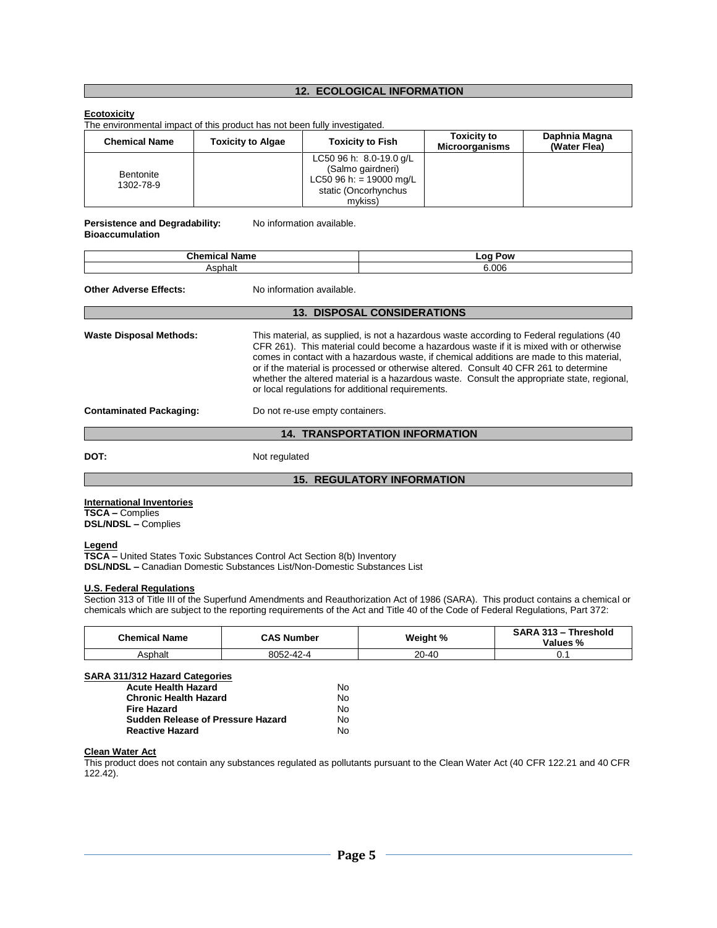# **12. ECOLOGICAL INFORMATION**

## **Ecotoxicity**

The environmental impact of this product has not been fully investigated.

| <b>Chemical Name</b>          | <b>Toxicity to Algae</b> | <b>Toxicity to Fish</b>                                                                                    | <b>Toxicity to</b><br><b>Microorganisms</b> | Daphnia Magna<br>(Water Flea) |
|-------------------------------|--------------------------|------------------------------------------------------------------------------------------------------------|---------------------------------------------|-------------------------------|
| <b>Bentonite</b><br>1302-78-9 |                          | LC50 96 h: 8.0-19.0 g/L<br>(Salmo gairdneri)<br>LC50 96 h: = 19000 mg/L<br>static (Oncorhynchus<br>mvkiss) |                                             |                               |

# Persistence and Degradability: No information available.

| <b>Bioaccumulation</b> |  |
|------------------------|--|
|                        |  |

| <b>Chemical Name</b> | ∟oa Pow |
|----------------------|---------|
| ∼nhalt               | 6.006   |

| <b>Other Adverse Effects:</b>         | No information available.                                                                                                                                                                                                                                                                                                                                                                                                                                                                                                       |  |  |  |  |
|---------------------------------------|---------------------------------------------------------------------------------------------------------------------------------------------------------------------------------------------------------------------------------------------------------------------------------------------------------------------------------------------------------------------------------------------------------------------------------------------------------------------------------------------------------------------------------|--|--|--|--|
|                                       | <b>13. DISPOSAL CONSIDERATIONS</b>                                                                                                                                                                                                                                                                                                                                                                                                                                                                                              |  |  |  |  |
| <b>Waste Disposal Methods:</b>        | This material, as supplied, is not a hazardous waste according to Federal regulations (40)<br>CFR 261). This material could become a hazardous waste if it is mixed with or otherwise<br>comes in contact with a hazardous waste, if chemical additions are made to this material,<br>or if the material is processed or otherwise altered. Consult 40 CFR 261 to determine<br>whether the altered material is a hazardous waste. Consult the appropriate state, regional,<br>or local regulations for additional requirements. |  |  |  |  |
| <b>Contaminated Packaging:</b>        | Do not re-use empty containers.                                                                                                                                                                                                                                                                                                                                                                                                                                                                                                 |  |  |  |  |
| <b>14. TRANSPORTATION INFORMATION</b> |                                                                                                                                                                                                                                                                                                                                                                                                                                                                                                                                 |  |  |  |  |

**DOT:** Not regulated

## **15. REGULATORY INFORMATION**

**International Inventories**

**TSCA –** Complies **DSL/NDSL –** Complies

## **Legend**

**TSCA –** United States Toxic Substances Control Act Section 8(b) Inventory **DSL/NDSL –** Canadian Domestic Substances List/Non-Domestic Substances List

#### **U.S. Federal Regulations**

Section 313 of Title III of the Superfund Amendments and Reauthorization Act of 1986 (SARA). This product contains a chemical or chemicals which are subject to the reporting requirements of the Act and Title 40 of the Code of Federal Regulations, Part 372:

| <b>Chemical Name</b> | <b>CAS Number</b> | Weight % | SARA 313 - Threshold<br><b>Values %</b> |
|----------------------|-------------------|----------|-----------------------------------------|
| Asphalt              | 8052-42-4         | 20-40    | ν.,                                     |

## **SARA 311/312 Hazard Categories**

| <b>Acute Health Hazard</b>        | N٥ |
|-----------------------------------|----|
| <b>Chronic Health Hazard</b>      | N٥ |
| <b>Fire Hazard</b>                | N٥ |
| Sudden Release of Pressure Hazard | N٥ |
| <b>Reactive Hazard</b>            | N٥ |

# **Clean Water Act**

This product does not contain any substances regulated as pollutants pursuant to the Clean Water Act (40 CFR 122.21 and 40 CFR 122.42).